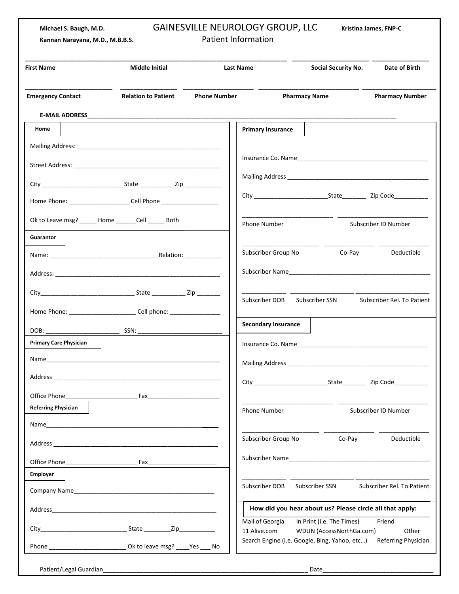| Michael S. Baugh, M.D. |  |  |  |
|------------------------|--|--|--|
|------------------------|--|--|--|

# GAINESVILLE NEUROLOGY GROUP, LLC Kristina James, FNP-C<br>Patient Information

**Kannan Narayana, M.D., M.B.B.S.** 

| <b>Emergency Contact</b>                              | <b>Relation to Patient</b>                                                       | <b>Phone Number</b> | <b>Pharmacy Name</b>                                     |                                                       |                            |
|-------------------------------------------------------|----------------------------------------------------------------------------------|---------------------|----------------------------------------------------------|-------------------------------------------------------|----------------------------|
|                                                       |                                                                                  |                     |                                                          |                                                       | <b>Pharmacy Number</b>     |
|                                                       |                                                                                  |                     |                                                          |                                                       |                            |
| Home                                                  |                                                                                  |                     | <b>Primary Insurance</b>                                 |                                                       |                            |
|                                                       |                                                                                  |                     |                                                          |                                                       |                            |
|                                                       |                                                                                  |                     |                                                          |                                                       |                            |
|                                                       |                                                                                  |                     |                                                          |                                                       |                            |
|                                                       | Home Phone: __________________________Cell Phone _______________________________ |                     |                                                          |                                                       |                            |
| Ok to Leave msg? ______ Home _______ Cell ______ Both |                                                                                  |                     | Phone Number                                             |                                                       | Subscriber ID Number       |
| Guarantor                                             |                                                                                  |                     |                                                          |                                                       |                            |
|                                                       |                                                                                  |                     | Subscriber Group No                                      | Co-Pay                                                | Deductible                 |
|                                                       |                                                                                  |                     |                                                          |                                                       |                            |
|                                                       |                                                                                  |                     | Subscriber DOB Subscriber SSN                            |                                                       | Subscriber Rel. To Patient |
|                                                       | Home Phone: ______________________________ Cell phone: _________________________ |                     |                                                          |                                                       |                            |
|                                                       |                                                                                  |                     | <b>Secondary Insurance</b>                               |                                                       |                            |
| <b>Primary Care Physician</b>                         |                                                                                  |                     |                                                          |                                                       |                            |
|                                                       |                                                                                  |                     |                                                          |                                                       |                            |
|                                                       |                                                                                  |                     | City City State Zip Code                                 |                                                       |                            |
|                                                       |                                                                                  |                     |                                                          |                                                       |                            |
| <b>Referring Physician</b>                            |                                                                                  |                     | Phone Number                                             |                                                       | Subscriber ID Number       |
|                                                       |                                                                                  |                     |                                                          |                                                       |                            |
|                                                       |                                                                                  |                     | Subscriber Group No                                      | Co-Pay                                                | Deductible                 |
|                                                       |                                                                                  |                     | Subscriber Name                                          |                                                       |                            |
| <b>Employer</b>                                       |                                                                                  |                     |                                                          |                                                       |                            |
|                                                       |                                                                                  |                     | Subscriber DOB Subscriber SSN                            |                                                       | Subscriber Rel. To Patient |
|                                                       |                                                                                  |                     | How did you hear about us? Please circle all that apply: |                                                       |                            |
|                                                       |                                                                                  |                     | Mall of Georgia<br>11 Alive.com                          | In Print (i.e. The Times)<br>WDUN (AccessNorthGa.com) | Friend<br>Other            |
|                                                       | Phone _________________________________ Ok to leave msg? _____Yes ____ No        |                     | Search Engine (i.e. Google, Bing, Yahoo, etc)            |                                                       | Referring Physician        |

Patient/Legal Guardian\_\_\_\_\_\_\_\_\_\_\_\_\_\_\_\_\_\_\_\_\_\_\_\_\_\_\_\_\_\_\_\_\_\_\_\_\_\_\_\_\_\_\_\_\_\_\_\_\_\_\_\_\_\_\_\_\_\_\_\_\_ Date\_\_\_\_\_\_\_\_\_\_\_\_\_\_\_\_\_\_\_\_\_\_\_\_\_\_\_\_\_\_\_\_\_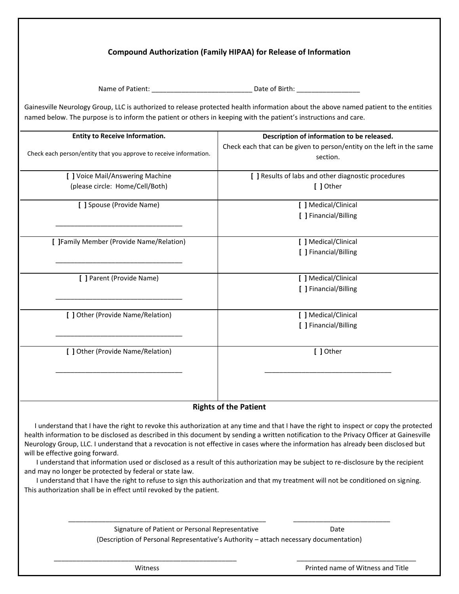| <b>Compound Authorization (Family HIPAA) for Release of Information</b>                                          |                                                                                                                                      |  |  |  |  |  |
|------------------------------------------------------------------------------------------------------------------|--------------------------------------------------------------------------------------------------------------------------------------|--|--|--|--|--|
|                                                                                                                  |                                                                                                                                      |  |  |  |  |  |
| named below. The purpose is to inform the patient or others in keeping with the patient's instructions and care. | Gainesville Neurology Group, LLC is authorized to release protected health information about the above named patient to the entities |  |  |  |  |  |
| <b>Entity to Receive Information.</b>                                                                            | Description of information to be released.                                                                                           |  |  |  |  |  |
| Check each person/entity that you approve to receive information.                                                | Check each that can be given to person/entity on the left in the same<br>section.                                                    |  |  |  |  |  |
| [ ] Voice Mail/Answering Machine                                                                                 | [ ] Results of labs and other diagnostic procedures                                                                                  |  |  |  |  |  |
| (please circle: Home/Cell/Both)                                                                                  | [ ] Other                                                                                                                            |  |  |  |  |  |
| [ ] Spouse (Provide Name)                                                                                        | [ ] Medical/Clinical<br>[ ] Financial/Billing                                                                                        |  |  |  |  |  |
| [ ]Family Member (Provide Name/Relation)                                                                         | [ ] Medical/Clinical<br>[ ] Financial/Billing                                                                                        |  |  |  |  |  |
| [ ] Parent (Provide Name)                                                                                        | [ ] Medical/Clinical<br>[ ] Financial/Billing                                                                                        |  |  |  |  |  |
| [ ] Other (Provide Name/Relation)                                                                                | [ ] Medical/Clinical<br>[ ] Financial/Billing                                                                                        |  |  |  |  |  |
| [ ] Other (Provide Name/Relation)                                                                                | [ ] Other                                                                                                                            |  |  |  |  |  |

#### **Rights of the Patient**

 I understand that I have the right to revoke this authorization at any time and that I have the right to inspect or copy the protected health information to be disclosed as described in this document by sending a written notification to the Privacy Officer at Gainesville Neurology Group, LLC. I understand that a revocation is not effective in cases where the information has already been disclosed but will be effective going forward.

 I understand that information used or disclosed as a result of this authorization may be subject to re-disclosure by the recipient and may no longer be protected by federal or state law.

 I understand that I have the right to refuse to sign this authorization and that my treatment will not be conditioned on signing. This authorization shall be in effect until revoked by the patient.

Signature of Patient or Personal Representative Date

(Description of Personal Representative's Authority – attach necessary documentation)

\_\_\_\_\_\_\_\_\_\_\_\_\_\_\_\_\_\_\_\_\_\_\_\_\_\_\_\_\_\_\_\_\_\_\_\_\_\_\_\_\_\_\_\_\_\_\_\_\_ \_\_\_\_\_\_\_\_\_\_\_\_\_\_\_\_\_\_\_\_\_\_\_\_\_\_\_\_\_\_\_\_

\_\_\_\_\_\_\_\_\_\_\_\_\_\_\_\_\_\_\_\_\_\_\_\_\_\_\_\_\_\_\_\_\_\_\_\_\_\_\_\_\_\_\_\_\_\_\_\_\_\_\_\_\_ \_\_\_\_\_\_\_\_\_\_\_\_\_\_\_\_\_\_\_\_\_\_\_\_\_\_

Witness Printed name of Witness and Title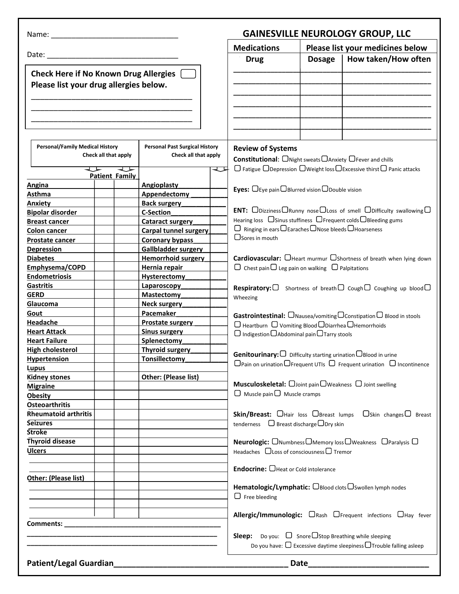|                                                                                        |                              | <b>GAINESVILLE NEUROLOGY GROUP, LLC</b>                                                                                                                     |                                                                                                                                           |                                  |                                                                                                         |
|----------------------------------------------------------------------------------------|------------------------------|-------------------------------------------------------------------------------------------------------------------------------------------------------------|-------------------------------------------------------------------------------------------------------------------------------------------|----------------------------------|---------------------------------------------------------------------------------------------------------|
|                                                                                        |                              | <b>Medications</b>                                                                                                                                          |                                                                                                                                           | Please list your medicines below |                                                                                                         |
| Date:                                                                                  |                              | <b>Drug</b>                                                                                                                                                 | <b>Dosage</b>                                                                                                                             | How taken/How often              |                                                                                                         |
| <b>Check Here if No Known Drug Allergies</b><br>Please list your drug allergies below. |                              |                                                                                                                                                             |                                                                                                                                           |                                  |                                                                                                         |
|                                                                                        |                              |                                                                                                                                                             |                                                                                                                                           |                                  |                                                                                                         |
|                                                                                        |                              |                                                                                                                                                             |                                                                                                                                           |                                  |                                                                                                         |
| <b>Personal/Family Medical History</b><br>Check all that apply                         |                              | <b>Personal Past Surgical History</b><br><b>Review of Systems</b><br>Check all that apply<br><b>Constitutional:</b> □Night sweats□Anxiety □Fever and chills |                                                                                                                                           |                                  |                                                                                                         |
|                                                                                        | ママ<br>रफ्र<br>Patient Family |                                                                                                                                                             | ᄑ                                                                                                                                         |                                  | $\Box$ Fatigue $\Box$ Depression $\Box$ Weight loss $\Box$ Excessive thirst $\Box$ Panic attacks        |
| Angina                                                                                 |                              | <b>Angioplasty</b>                                                                                                                                          |                                                                                                                                           |                                  |                                                                                                         |
| Asthma                                                                                 |                              | Appendectomy                                                                                                                                                | <b>Eyes:</b> $\Box$ Eye pain $\Box$ Blurred vision $\Box$ Double vision                                                                   |                                  |                                                                                                         |
| <b>Anxiety</b>                                                                         |                              | <b>Back surgery</b>                                                                                                                                         |                                                                                                                                           |                                  |                                                                                                         |
| <b>Bipolar disorder</b>                                                                |                              | <b>C-Section</b>                                                                                                                                            |                                                                                                                                           |                                  | <b>ENT:</b> $\Box$ Dizziness $\Box$ Runny nose $\Box$ Loss of smell $\Box$ Difficulty swallowing $\Box$ |
| <b>Breast cancer</b>                                                                   |                              | <b>Cataract surgery</b>                                                                                                                                     | Hearing loss $\Box$ Sinus stuffiness $\Box$ Frequent colds $\Box$ Bleeding gums                                                           |                                  |                                                                                                         |
| Colon cancer                                                                           |                              | <b>Carpal tunnel surgery</b>                                                                                                                                | $\Box$ Ringing in ears $\Box$ Earaches $\Box$ Nose bleeds $\Box$ Hoarseness                                                               |                                  |                                                                                                         |
| Prostate cancer                                                                        |                              | <b>Coronary bypass</b>                                                                                                                                      | $\bigcup$ Sores in mouth                                                                                                                  |                                  |                                                                                                         |
| <b>Depression</b>                                                                      |                              | <b>Gallbladder surgery</b>                                                                                                                                  |                                                                                                                                           |                                  |                                                                                                         |
| <b>Diabetes</b>                                                                        |                              | <b>Hemorrhoid surgery</b>                                                                                                                                   |                                                                                                                                           |                                  |                                                                                                         |
| Emphysema/COPD                                                                         |                              | Hernia repair                                                                                                                                               | Cardiovascular: O Heart murmur O Shortness of breath when lying down<br>$\Box$ Chest pain $\Box$ Leg pain on walking $\Box$ Palpitations  |                                  |                                                                                                         |
| <b>Endometriosis</b>                                                                   |                              | <b>Hysterectomy</b>                                                                                                                                         |                                                                                                                                           |                                  |                                                                                                         |
| <b>Gastritis</b>                                                                       |                              |                                                                                                                                                             |                                                                                                                                           |                                  |                                                                                                         |
| <b>GERD</b>                                                                            |                              | Laparoscopy<br><b>Respiratory:</b> $\Box$ Shortness of breath $\Box$ Cough $\Box$ Coughing up blood $\Box$<br>Mastectomy                                    |                                                                                                                                           |                                  |                                                                                                         |
| <b>Glaucoma</b>                                                                        |                              | <b>Neck surgery</b>                                                                                                                                         | Wheezing                                                                                                                                  |                                  |                                                                                                         |
| Gout                                                                                   |                              | Pacemaker                                                                                                                                                   |                                                                                                                                           |                                  |                                                                                                         |
| <b>Headache</b>                                                                        |                              | <b>Prostate surgery</b>                                                                                                                                     | <b>Gastrointestinal:</b> $\Box$ Nausea/vomiting $\Box$ Constipation $\Box$ Blood in stools                                                |                                  |                                                                                                         |
| <b>Heart Attack</b>                                                                    |                              | <b>Sinus surgery</b>                                                                                                                                        | $\Box$ Heartburn $\Box$ Vomiting Blood $\Box$ Diarrhea $\Box$ Hemorrhoids<br>$\Box$ Indigestion $\Box$ Abdominal pain $\Box$ Tarry stools |                                  |                                                                                                         |
|                                                                                        |                              |                                                                                                                                                             |                                                                                                                                           |                                  |                                                                                                         |
| <b>Heart Failure</b>                                                                   |                              | Splenectomy<br><b>Thyroid surgery</b>                                                                                                                       |                                                                                                                                           |                                  |                                                                                                         |
| <b>High cholesterol</b>                                                                |                              |                                                                                                                                                             | <b>Genitourinary:</b> $\Box$ Difficulty starting urination $\Box$ Blood in urine                                                          |                                  |                                                                                                         |
| <b>Hypertension</b>                                                                    |                              | <b>Tonsillectomy</b>                                                                                                                                        | $\Box$ Pain on urination $\Box$ Frequent UTIs $\Box$ Frequent urination $\Box$ Incontinence                                               |                                  |                                                                                                         |
| Lupus                                                                                  |                              |                                                                                                                                                             |                                                                                                                                           |                                  |                                                                                                         |
| <b>Kidney stones</b>                                                                   |                              | Other: (Please list)                                                                                                                                        | <b>Musculoskeletal:</b> $\square$ Joint pain $\square$ Weakness $\square$ Joint swelling                                                  |                                  |                                                                                                         |
| <b>Migraine</b>                                                                        |                              |                                                                                                                                                             | $\Box$ Muscle pain $\Box$ Muscle cramps                                                                                                   |                                  |                                                                                                         |
| <b>Obesity</b>                                                                         |                              |                                                                                                                                                             |                                                                                                                                           |                                  |                                                                                                         |
| <b>Osteoarthritis</b>                                                                  |                              |                                                                                                                                                             |                                                                                                                                           |                                  |                                                                                                         |
| <b>Rheumatoid arthritis</b>                                                            |                              |                                                                                                                                                             |                                                                                                                                           |                                  | Skin/Breast: Hair loss DBreast lumps DSkin changes D Breast                                             |
| <b>Seizures</b>                                                                        |                              |                                                                                                                                                             | tenderness $\Box$ Breast discharge $\Box$ Dry skin                                                                                        |                                  |                                                                                                         |
| <b>Stroke</b>                                                                          |                              |                                                                                                                                                             |                                                                                                                                           |                                  |                                                                                                         |
| <b>Thyroid disease</b>                                                                 |                              |                                                                                                                                                             |                                                                                                                                           |                                  | Neurologic: □Numbness□Memory loss□Weakness □Paralysis □                                                 |
| <b>Ulcers</b>                                                                          |                              |                                                                                                                                                             | Headaches $\Box$ Loss of consciousness $\Box$ Tremor                                                                                      |                                  |                                                                                                         |
| Other: (Please list)                                                                   |                              |                                                                                                                                                             | <b>Endocrine:</b> OHeat or Cold intolerance                                                                                               |                                  |                                                                                                         |
|                                                                                        |                              |                                                                                                                                                             | $\Box$ Free bleeding                                                                                                                      |                                  | <b>Hematologic/Lymphatic:</b> $\Box$ Blood clots $\Box$ Swollen lymph nodes                             |
|                                                                                        |                              |                                                                                                                                                             |                                                                                                                                           |                                  |                                                                                                         |
| Comments: __                                                                           |                              |                                                                                                                                                             |                                                                                                                                           |                                  | <b>Allergic/Immunologic:</b> $\Box$ Rash $\Box$ Frequent infections $\Box$ Hay fever                    |
|                                                                                        |                              |                                                                                                                                                             | <b>Sleep:</b> Do you: $\Box$ Snore $\Box$ Stop Breathing while sleeping                                                                   |                                  | Do you have: $\Box$ Excessive daytime sleepiness $\Box$ Trouble falling asleep                          |
| Patient/Legal Guardian                                                                 |                              |                                                                                                                                                             |                                                                                                                                           | Date                             |                                                                                                         |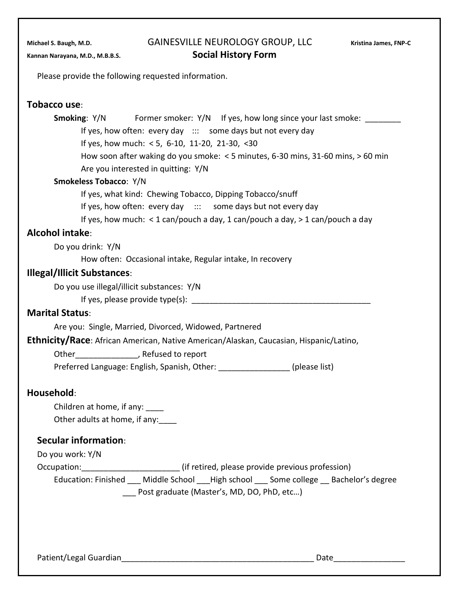## **Michael S. Baugh, M.D.** GAINESVILLE NEUROLOGY GROUP, LLC **Kristina James, FNP-C**

**Kannan Narayana, M.D., M.B.B.S. Social History Form** 

Please provide the following requested information.

#### **Tobacco use**:

**Smoking**: Y/N Former smoker: Y/N If yes, how long since your last smoke: If yes, how often: every day ::: some days but not every day If yes, how much: < 5, 6-10, 11-20, 21-30, <30 How soon after waking do you smoke: < 5 minutes, 6-30 mins, 31-60 mins, > 60 min Are you interested in quitting: Y/N

#### **Smokeless Tobacco**: Y/N

If yes, what kind: Chewing Tobacco, Dipping Tobacco/snuff

If yes, how often: every day ::: some days but not every day

If yes, how much:  $\lt 1$  can/pouch a day, 1 can/pouch a day,  $\gt 1$  can/pouch a day

#### **Alcohol intake**:

Do you drink: Y/N

How often: Occasional intake, Regular intake, In recovery

#### **Illegal/Illicit Substances**:

Do you use illegal/illicit substances: Y/N

If yes, please provide type(s):  $\blacksquare$ 

#### **Marital Status**:

Are you: Single, Married, Divorced, Widowed, Partnered

**Ethnicity/Race**: African American, Native American/Alaskan, Caucasian, Hispanic/Latino,

Other The Refused to report

Preferred Language: English, Spanish, Other: \_\_\_\_\_\_\_\_\_\_\_\_\_\_\_\_\_\_(please list)

#### **Household**:

Children at home, if any: Other adults at home, if any:

#### **Secular information**:

Do you work: Y/N

Occupation: \_\_\_\_\_\_\_\_\_\_\_\_\_\_\_\_\_\_\_\_\_\_\_\_\_\_\_\_\_\_ (if retired, please provide previous profession)

Education: Finished \_\_\_ Middle School \_\_\_ High school \_\_\_\_ Some college \_\_\_ Bachelor's degree Post graduate (Master's, MD, DO, PhD, etc...)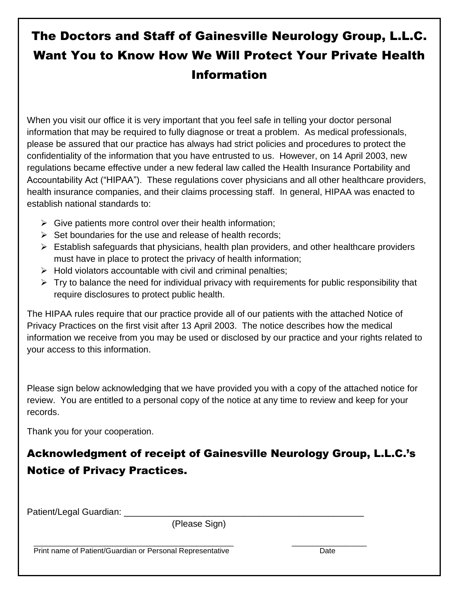## The Doctors and Staff of Gainesville Neurology Group, L.L.C. Want You to Know How We Will Protect Your Private Health Information

When you visit our office it is very important that you feel safe in telling your doctor personal information that may be required to fully diagnose or treat a problem. As medical professionals, please be assured that our practice has always had strict policies and procedures to protect the confidentiality of the information that you have entrusted to us. However, on 14 April 2003, new regulations became effective under a new federal law called the Health Insurance Portability and Accountability Act ("HIPAA"). These regulations cover physicians and all other healthcare providers, health insurance companies, and their claims processing staff. In general, HIPAA was enacted to establish national standards to:

- $\triangleright$  Give patients more control over their health information;
- $\triangleright$  Set boundaries for the use and release of health records;
- ➢ Establish safeguards that physicians, health plan providers, and other healthcare providers must have in place to protect the privacy of health information;
- $\triangleright$  Hold violators accountable with civil and criminal penalties;
- $\triangleright$  Try to balance the need for individual privacy with requirements for public responsibility that require disclosures to protect public health.

The HIPAA rules require that our practice provide all of our patients with the attached Notice of Privacy Practices on the first visit after 13 April 2003. The notice describes how the medical information we receive from you may be used or disclosed by our practice and your rights related to your access to this information.

Please sign below acknowledging that we have provided you with a copy of the attached notice for review. You are entitled to a personal copy of the notice at any time to review and keep for your records.

Thank you for your cooperation.

### Acknowledgment of receipt of Gainesville Neurology Group, L.L.C.'s Notice of Privacy Practices.

Patient/Legal Guardian:

(Please Sign)

\_\_\_\_\_\_\_\_\_\_\_\_\_\_\_\_\_\_\_\_\_\_\_\_\_\_\_\_\_\_\_\_\_\_\_\_\_\_\_\_\_\_\_\_\_\_\_\_ \_\_\_\_\_\_\_\_\_\_\_\_\_\_\_\_\_\_ Print name of Patient/Guardian or Personal Representative **Date** Date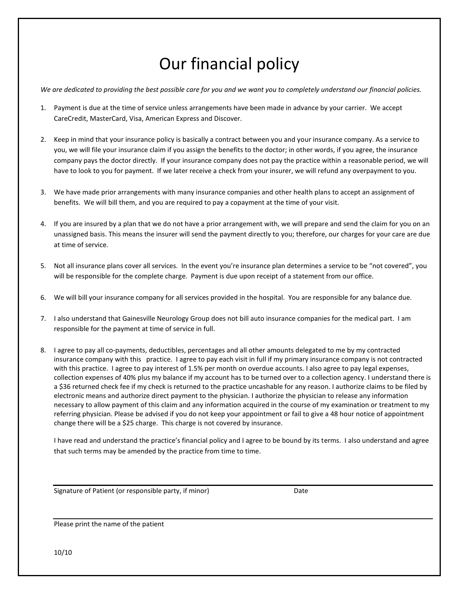## Our financial policy

*We are dedicated to providing the best possible care for you and we want you to completely understand our financial policies.*

- 1. Payment is due at the time of service unless arrangements have been made in advance by your carrier. We accept CareCredit, MasterCard, Visa, American Express and Discover.
- 2. Keep in mind that your insurance policy is basically a contract between you and your insurance company. As a service to you, we will file your insurance claim if you assign the benefits to the doctor; in other words, if you agree, the insurance company pays the doctor directly. If your insurance company does not pay the practice within a reasonable period, we will have to look to you for payment. If we later receive a check from your insurer, we will refund any overpayment to you.
- 3. We have made prior arrangements with many insurance companies and other health plans to accept an assignment of benefits. We will bill them, and you are required to pay a copayment at the time of your visit.
- 4. If you are insured by a plan that we do not have a prior arrangement with, we will prepare and send the claim for you on an unassigned basis. This means the insurer will send the payment directly to you; therefore, our charges for your care are due at time of service.
- 5. Not all insurance plans cover all services. In the event you're insurance plan determines a service to be "not covered", you will be responsible for the complete charge. Payment is due upon receipt of a statement from our office.
- 6. We will bill your insurance company for all services provided in the hospital. You are responsible for any balance due.
- 7. I also understand that Gainesville Neurology Group does not bill auto insurance companies for the medical part. I am responsible for the payment at time of service in full.
- 8. I agree to pay all co-payments, deductibles, percentages and all other amounts delegated to me by my contracted insurance company with this practice. I agree to pay each visit in full if my primary insurance company is not contracted with this practice. I agree to pay interest of 1.5% per month on overdue accounts. I also agree to pay legal expenses, collection expenses of 40% plus my balance if my account has to be turned over to a collection agency. I understand there is a \$36 returned check fee if my check is returned to the practice uncashable for any reason. I authorize claims to be filed by electronic means and authorize direct payment to the physician. I authorize the physician to release any information necessary to allow payment of this claim and any information acquired in the course of my examination or treatment to my referring physician. Please be advised if you do not keep your appointment or fail to give a 48 hour notice of appointment change there will be a \$25 charge. This charge is not covered by insurance.

I have read and understand the practice's financial policy and I agree to be bound by its terms. I also understand and agree that such terms may be amended by the practice from time to time.

Signature of Patient (or responsible party, if minor) Date

Please print the name of the patient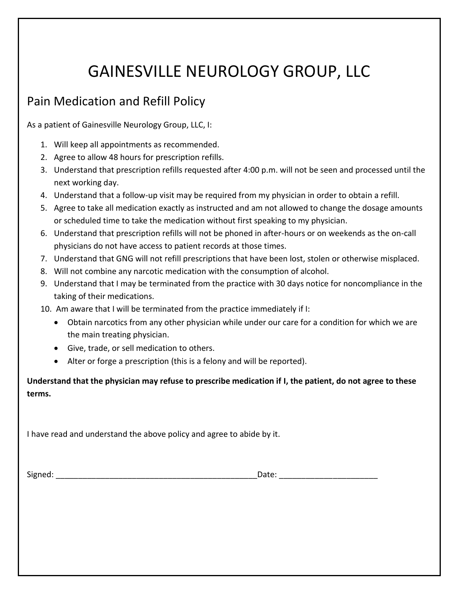# GAINESVILLE NEUROLOGY GROUP, LLC

### Pain Medication and Refill Policy

As a patient of Gainesville Neurology Group, LLC, I:

- 1. Will keep all appointments as recommended.
- 2. Agree to allow 48 hours for prescription refills.
- 3. Understand that prescription refills requested after 4:00 p.m. will not be seen and processed until the next working day.
- 4. Understand that a follow-up visit may be required from my physician in order to obtain a refill.
- 5. Agree to take all medication exactly as instructed and am not allowed to change the dosage amounts or scheduled time to take the medication without first speaking to my physician.
- 6. Understand that prescription refills will not be phoned in after-hours or on weekends as the on-call physicians do not have access to patient records at those times.
- 7. Understand that GNG will not refill prescriptions that have been lost, stolen or otherwise misplaced.
- 8. Will not combine any narcotic medication with the consumption of alcohol.
- 9. Understand that I may be terminated from the practice with 30 days notice for noncompliance in the taking of their medications.
- 10. Am aware that I will be terminated from the practice immediately if I:
	- Obtain narcotics from any other physician while under our care for a condition for which we are the main treating physician.
	- Give, trade, or sell medication to others.
	- Alter or forge a prescription (this is a felony and will be reported).

**Understand that the physician may refuse to prescribe medication if I, the patient, do not agree to these terms.**

I have read and understand the above policy and agree to abide by it.

Signed: \_\_\_\_\_\_\_\_\_\_\_\_\_\_\_\_\_\_\_\_\_\_\_\_\_\_\_\_\_\_\_\_\_\_\_\_\_\_\_\_\_\_\_\_\_Date: \_\_\_\_\_\_\_\_\_\_\_\_\_\_\_\_\_\_\_\_\_\_